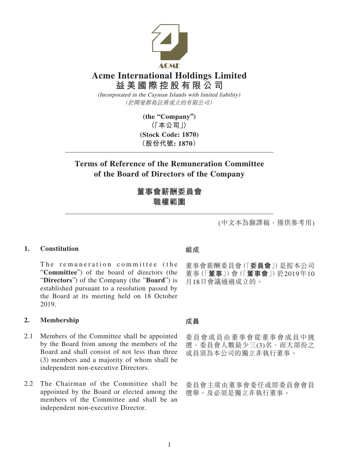

# **Acme International Holdings Limited 益美國際控股有限公司**

(Incorporated in the Cayman Islands with limited liability) (於開曼群島註冊成立的有限公司)

> **(the "Company") (「本公司」)**

**(Stock Code: 1870) (股份代號: 1870)**

# **Terms of Reference of the Remuneration Committee of the Board of Directors of the Company**

# **董事會薪酬委員會 職權範圍**

(中文本為翻譯稿,僅供參考用)

## **1. Constitution**

The remuneration committee (the "**Committee**") of the board of directors (the "**Directors**") of the Company (the "**Board**") is established pursuant to a resolution passed by the Board at its meeting held on 18 October 2019.

## **2. Membership**

- 2.1 Members of the Committee shall be appointed by the Board from among the members of the Board and shall consist of not less than three (3) members and a majority of whom shall be independent non-executive Directors.
- 2.2 The Chairman of the Committee shall be appointed by the Board or elected among the members of the Committee and shall be an independent non-executive Director.

## **組成**

董事會薪酬委員會(「**委員會**」)是按本公司 董事(「**董事**」)會(「**董事會**」)於2019年10 月18日會議通過成立的。

## **成員**

委員會成員由董事會從董事會成員中挑 選,委員會人數最少三(3)名,而大部份之 成員須為本公司的獨立非執行董事。

委員會主席由董事會委任或經委員會會員 選舉、及必須是獨立非執行董事。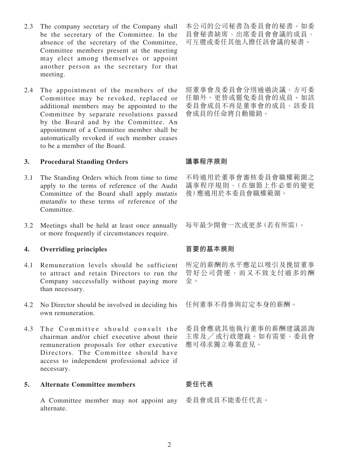- 2.3 The company secretary of the Company shall be the secretary of the Committee. In the absence of the secretary of the Committee, Committee members present at the meeting may elect among themselves or appoint another person as the secretary for that meeting.
- 2.4 The appointment of the members of the Committee may be revoked, replaced or additional members may be appointed to the Committee by separate resolutions passed by the Board and by the Committee. An appointment of a Committee member shall be automatically revoked if such member ceases to be a member of the Board.

#### **3. Procedural Standing Orders**

- 3.1 The Standing Orders which from time to time apply to the terms of reference of the Audit Committee of the Board shall apply mutatis mutandis to these terms of reference of the Committee.
- 3.2 Meetings shall be held at least once annually or more frequently if circumstances require.

## **4. Overriding principles**

- 4.1 Remuneration levels should be sufficient to attract and retain Directors to run the Company successfully without paying more than necessary.
- 4.2 No Director should be involved in deciding his own remuneration.
- 4.3 The Committee should consult the chairman and/or chief executive about their remuneration proposals for other executive Directors. The Committee should have access to independent professional advice if necessary.

## **5. Alternate Committee members**

A Committee member may not appoint any alternate.

本公司的公司秘書為委員會的秘書。如委 員會秘書缺席,出席委員會會議的成員, 可互選或委任其他人擔任該會議的秘書。

經董事會及委員會分別通過決議,方可委 任額外、更替或罷免委員會的成員。如該 委員會成員不再是董事會的成員,該委員 會成員的任命將自動撤銷。

## **議事程序規則**

不時適用於董事會審核委員會職權範圍之 議事程序規則,(在細節上作必要的變更 後)應適用於本委員會職權範圍。

每年最少開會一次或更多(若有所需)。

## **首要的基本規則**

所定的薪酬的水平應足以吸引及挽留董事 管好公司營運,而又不致支付過多的酬 金。

任何董事不得參與訂定本身的薪酬。

委員會應就其他執行董事的薪酬建議諮詢 主席及╱或行政總裁。如有需要,委員會 應可尋求獨立專業意見。

# **委任代表**

委員會成員不能委任代表。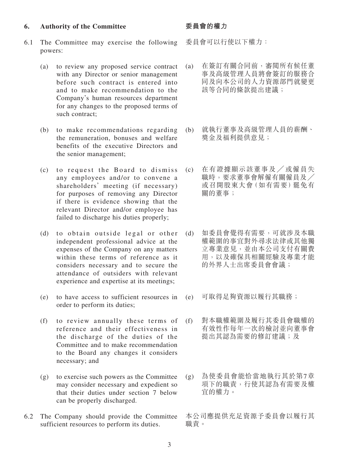#### **6. Authority of the Committee**

- 6.1 The Committee may exercise the following powers:
	- (a) to review any proposed service contract with any Director or senior management before such contract is entered into and to make recommendation to the Company's human resources department for any changes to the proposed terms of such contract;
	- (b) to make recommendations regarding the remuneration, bonuses and welfare benefits of the executive Directors and the senior management;
	- (c) to request the Board to dismiss any employees and/or to convene a shareholders' meeting (if necessary) for purposes of removing any Director if there is evidence showing that the relevant Director and/or employee has failed to discharge his duties properly;
	- (d) to obtain outside legal or other independent professional advice at the expenses of the Company on any matters within these terms of reference as it considers necessary and to secure the attendance of outsiders with relevant experience and expertise at its meetings;
	- (e) to have access to sufficient resources in order to perform its duties;
	- (f) to review annually these terms of reference and their effectiveness in the discharge of the duties of the Committee and to make recommendation to the Board any changes it considers necessary; and
	- (g) to exercise such powers as the Committee may consider necessary and expedient so that their duties under section 7 below can be properly discharged.
- 6.2 The Company should provide the Committee sufficient resources to perform its duties.

## **委員會的權力**

委員會可以行使以下權力:

- (a) 在簽訂有關合同前,審閱所有候任董 事及高級管理人員將會簽訂的服務合 同及向本公司的人力資源部門就變更 該等合同的條款提出建議;
- (b) 就執行董事及高級管理人員的薪酬、 獎金及福利提供意見;
- (c) 在有證據顯示該董事及╱或僱員失 職時,要求董事會解僱有關僱員及╱ 或召開股東大會(如有需要)罷免有 關的董事;
- (d) 如委員會覺得有需要,可就涉及本職 權範圍的事宜對外尋求法律或其他獨 立專業意見,並由本公司支付有關費 用,以及確保具相關經驗及專業才能 的外界人士出席委員會會議;
- (e) 可取得足夠資源以履行其職務;
- (f) 對本職權範圍及履行其委員會職權的 有效性作每年一次的檢討並向董事會 提出其認為需要的修訂建議;及
- (g) 為使委員會能恰當地執行其於第7章 項下的職責,行使其認為有需要及權 宜的權力。

本公司應提供充足資源予委員會以履行其 職責。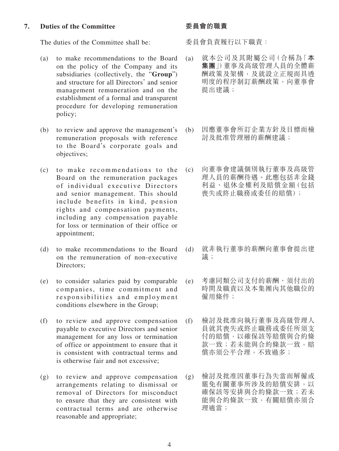#### **7. Duties of the Committee**

The duties of the Committee shall be:

- (a) to make recommendations to the Board on the policy of the Company and its subsidiaries (collectively, the "**Group**") and structure for all Directors' and senior management remuneration and on the establishment of a formal and transparent procedure for developing remuneration policy;
- (b) to review and approve the management's remuneration proposals with reference to the Board's corporate goals and objectives;
- (c) to make recommendations to the Board on the remuneration packages of individual executive Directors and senior management. This should include benefits in kind, pension rights and compensation payments, including any compensation payable for loss or termination of their office or appointment;
- (d) to make recommendations to the Board on the remuneration of non-executive Directors;
- (e) to consider salaries paid by comparable companies, time commitment and responsibilities and employment conditions elsewhere in the Group;
- (f) to review and approve compensation payable to executive Directors and senior management for any loss or termination of office or appointment to ensure that it is consistent with contractual terms and is otherwise fair and not excessive;
- (g) to review and approve compensation arrangements relating to dismissal or removal of Directors for misconduct to ensure that they are consistent with contractual terms and are otherwise reasonable and appropriate;

# **委員會的職責**

委員會負責履行以下職責:

- (a) 就本公司及其附屬公司(合稱為「**本 集團**」)董事及高級管理人員的全體薪 酬政策及架構,及就設立正規而具透 明度的程序制訂薪酬政策,向董事會 提出建議;
- (b) 因應董事會所訂企業方針及目標而檢 討及批准管理層的薪酬建議;
- (c) 向董事會建議個別執行董事及高級管 理人員的薪酬待遇。此應包括非金錢 利益、退休金權利及賠償金額(包括 喪失或終止職務或委任的賠償);

- (d) 就非執行董事的薪酬向董事會提出建 議;
- (e) 考慮同類公司支付的薪酬、須付出的 時間及職責以及本集團內其他職位的 僱用條件;
- (f) 檢討及批准向執行董事及高級管理人 員就其喪失或終止職務或委任所須支 付的賠償,以確保該等賠償與合約條 款一致;若未能與合約條款一致,賠 償亦須公平合理,不致過多;
- (g) 檢討及批准因董事行為失當而解僱或 罷免有關董事所涉及的賠償安排,以 確保該等安排與合約條款一致;若未 能與合約條款一致,有關賠償亦須合 理適當;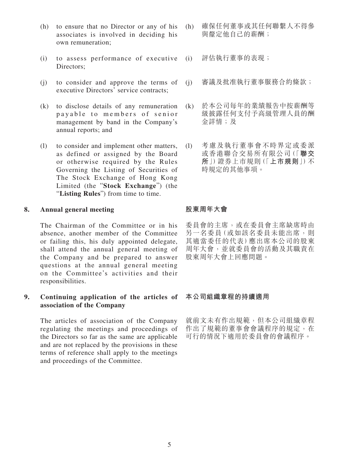- (h) to ensure that no Director or any of his associates is involved in deciding his own remuneration;
- (i) to assess performance of executive Directors:
- (j) to consider and approve the terms of executive Directors' service contracts;
- (k) to disclose details of any remuneration payable to members of senior management by band in the Company's annual reports; and
- (l) to consider and implement other matters, as defined or assigned by the Board or otherwise required by the Rules Governing the Listing of Securities of The Stock Exchange of Hong Kong Limited (the "**Stock Exchange**") (the "**Listing Rules**") from time to time.

#### **8. Annual general meeting**

The Chairman of the Committee or in his absence, another member of the Committee or failing this, his duly appointed delegate, shall attend the annual general meeting of the Company and be prepared to answer questions at the annual general meeting on the Committee's activities and their responsibilities.

# **9. Continuing application of the articles of association of the Company**

The articles of association of the Company regulating the meetings and proceedings of the Directors so far as the same are applicable and are not replaced by the provisions in these terms of reference shall apply to the meetings and proceedings of the Committee.

- (h) 確保任何董事或其任何聯繫人不得參 與釐定他自己的薪酬;
- (i) 評估執行董事的表現;
- (j) 審議及批准執行董事服務合約條款;
- (k) 於本公司每年的業績報告中按薪酬等 級披露任何支付予高級管理人員的酬 金詳情;及
- (l) 考慮及執行董事會不時界定或委派 或香港聯合交易所有限公司(「**聯交 所**」)證券上市規則(「**上市規則**」)不 時規定的其他事項。

## **股東周年大會**

委員會的主席,或在委員會主席缺席時由 另一名委員(或如該名委員未能出席,則 其適當委任的代表)應出席本公司的股東 周年大會,並就委員會的活動及其職責在 股東周年大會上回應問題。

#### **本公司組織章程的持續適用**

就前文未有作出規範,但本公司組織章程 作出了規範的董事會會議程序的規定,在 可行的情況下適用於委員會的會議程序。